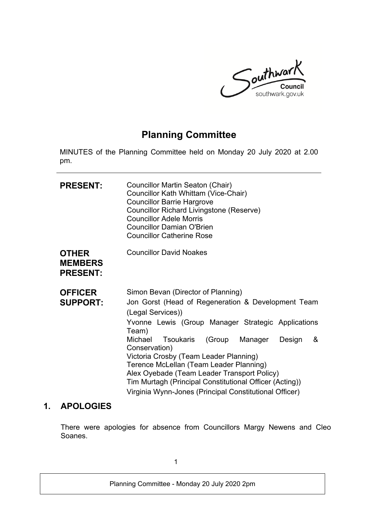

# **Planning Committee**

MINUTES of the Planning Committee held on Monday 20 July 2020 at 2.00 pm.

| <b>PRESENT:</b>                                   | Councillor Martin Seaton (Chair)<br>Councillor Kath Whittam (Vice-Chair)<br><b>Councillor Barrie Hargrove</b><br><b>Councillor Richard Livingstone (Reserve)</b><br><b>Councillor Adele Morris</b><br><b>Councillor Damian O'Brien</b><br><b>Councillor Catherine Rose</b>                                                                                                                                                                                                                                      |
|---------------------------------------------------|-----------------------------------------------------------------------------------------------------------------------------------------------------------------------------------------------------------------------------------------------------------------------------------------------------------------------------------------------------------------------------------------------------------------------------------------------------------------------------------------------------------------|
| <b>OTHER</b><br><b>MEMBERS</b><br><b>PRESENT:</b> | <b>Councillor David Noakes</b>                                                                                                                                                                                                                                                                                                                                                                                                                                                                                  |
| <b>OFFICER</b><br><b>SUPPORT:</b>                 | Simon Bevan (Director of Planning)<br>Jon Gorst (Head of Regeneration & Development Team<br>(Legal Services))<br>Yvonne Lewis (Group Manager Strategic Applications<br>Team)<br>Michael<br>Tsoukaris<br>(Group Manager<br>Design<br>&<br>Conservation)<br>Victoria Crosby (Team Leader Planning)<br>Terence McLellan (Team Leader Planning)<br>Alex Oyebade (Team Leader Transport Policy)<br>Tim Murtagh (Principal Constitutional Officer (Acting))<br>Virginia Wynn-Jones (Principal Constitutional Officer) |

### **1. APOLOGIES**

There were apologies for absence from Councillors Margy Newens and Cleo Soanes.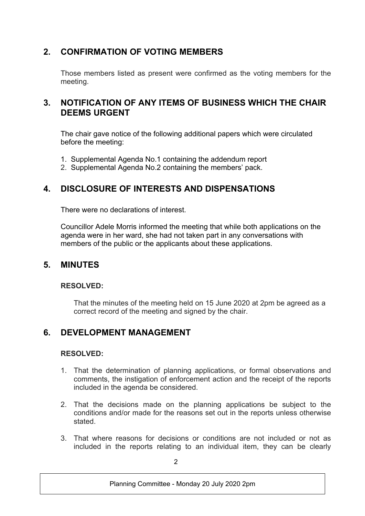# **2. CONFIRMATION OF VOTING MEMBERS**

Those members listed as present were confirmed as the voting members for the meeting.

## **3. NOTIFICATION OF ANY ITEMS OF BUSINESS WHICH THE CHAIR DEEMS URGENT**

The chair gave notice of the following additional papers which were circulated before the meeting:

- 1. Supplemental Agenda No.1 containing the addendum report
- 2. Supplemental Agenda No.2 containing the members' pack.

# **4. DISCLOSURE OF INTERESTS AND DISPENSATIONS**

There were no declarations of interest.

Councillor Adele Morris informed the meeting that while both applications on the agenda were in her ward, she had not taken part in any conversations with members of the public or the applicants about these applications.

### **5. MINUTES**

### **RESOLVED:**

That the minutes of the meeting held on 15 June 2020 at 2pm be agreed as a correct record of the meeting and signed by the chair.

# **6. DEVELOPMENT MANAGEMENT**

### **RESOLVED:**

- 1. That the determination of planning applications, or formal observations and comments, the instigation of enforcement action and the receipt of the reports included in the agenda be considered.
- 2. That the decisions made on the planning applications be subject to the conditions and/or made for the reasons set out in the reports unless otherwise stated.
- 3. That where reasons for decisions or conditions are not included or not as included in the reports relating to an individual item, they can be clearly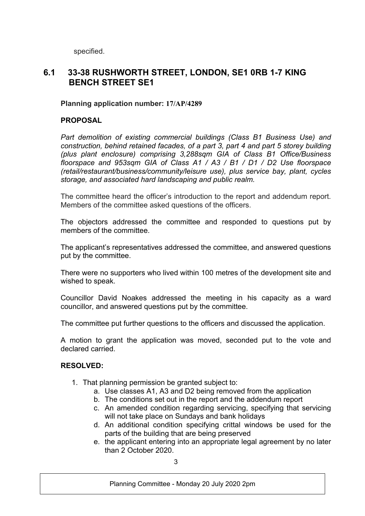specified.

### **6.1 33-38 RUSHWORTH STREET, LONDON, SE1 0RB 1-7 KING BENCH STREET SE1**

### **Planning application number: 17/AP/4289**

### **PROPOSAL**

*Part demolition of existing commercial buildings (Class B1 Business Use) and construction, behind retained facades, of a part 3, part 4 and part 5 storey building (plus plant enclosure) comprising 3,288sqm GIA of Class B1 Office/Business floorspace and 953sqm GIA of Class A1 / A3 / B1 / D1 / D2 Use floorspace (retail/restaurant/business/community/leisure use), plus service bay, plant, cycles storage, and associated hard landscaping and public realm.* 

The committee heard the officer's introduction to the report and addendum report. Members of the committee asked questions of the officers.

The objectors addressed the committee and responded to questions put by members of the committee.

The applicant's representatives addressed the committee, and answered questions put by the committee.

There were no supporters who lived within 100 metres of the development site and wished to speak.

Councillor David Noakes addressed the meeting in his capacity as a ward councillor, and answered questions put by the committee.

The committee put further questions to the officers and discussed the application.

A motion to grant the application was moved, seconded put to the vote and declared carried.

### **RESOLVED:**

- 1. That planning permission be granted subject to:
	- a. Use classes A1, A3 and D2 being removed from the application
	- b. The conditions set out in the report and the addendum report
	- c. An amended condition regarding servicing, specifying that servicing will not take place on Sundays and bank holidays
	- d. An additional condition specifying crittal windows be used for the parts of the building that are being preserved
	- e. the applicant entering into an appropriate legal agreement by no later than 2 October 2020.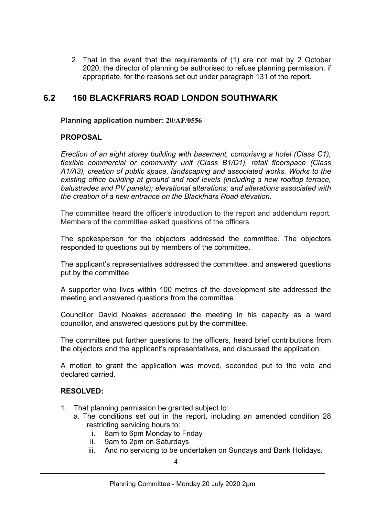2. That in the event that the requirements of (1) are not met by 2 October 2020, the director of planning be authorised to refuse planning permission, if appropriate, for the reasons set out under paragraph 131 of the report.

### **6.2 160 BLACKFRIARS ROAD LONDON SOUTHWARK**

#### **Planning application number: 20/AP/0556**

### **PROPOSAL**

*Erection of an eight storey building with basement, comprising a hotel (Class C1), flexible commercial or community unit (Class B1/D1), retail floorspace (Class A1/A3), creation of public space, landscaping and associated works. Works to the existing office building at ground and roof levels (including a new rooftop terrace, balustrades and PV panels); elevational alterations; and alterations associated with the creation of a new entrance on the Blackfriars Road elevation.*

The committee heard the officer's introduction to the report and addendum report. Members of the committee asked questions of the officers.

The spokesperson for the objectors addressed the committee. The objectors responded to questions put by members of the committee.

The applicant's representatives addressed the committee, and answered questions put by the committee.

A supporter who lives within 100 metres of the development site addressed the meeting and answered questions from the committee.

Councillor David Noakes addressed the meeting in his capacity as a ward councillor, and answered questions put by the committee.

The committee put further questions to the officers, heard brief contributions from the objectors and the applicant's representatives, and discussed the application.

A motion to grant the application was moved, seconded put to the vote and declared carried.

#### **RESOLVED:**

- 1. That planning permission be granted subject to:
	- a. The conditions set out in the report, including an amended condition 28 restricting servicing hours to:
		- i. 8am to 6pm Monday to Friday
		- ii. 9am to 2pm on Saturdays
		- iii. And no servicing to be undertaken on Sundays and Bank Holidays.